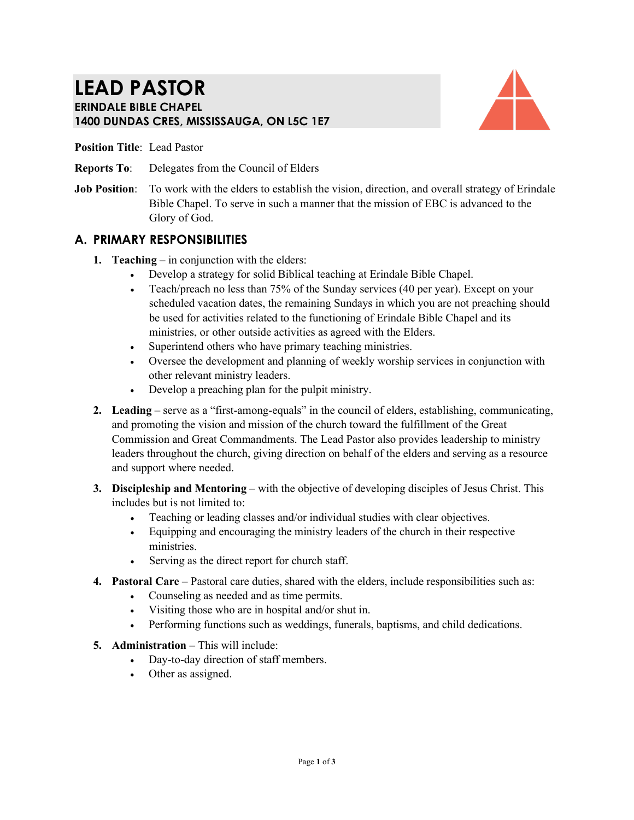# **LEAD PASTOR ERINDALE BIBLE CHAPEL 1400 DUNDAS CRES, MISSISSAUGA, ON L5C 1E7**



**Position Title**: Lead Pastor

- **Reports To**: Delegates from the Council of Elders
- **Job Position:** To work with the elders to establish the vision, direction, and overall strategy of Erindale Bible Chapel. To serve in such a manner that the mission of EBC is advanced to the Glory of God.

## **A. PRIMARY RESPONSIBILITIES**

- **1. Teaching** in conjunction with the elders:
	- Develop a strategy for solid Biblical teaching at Erindale Bible Chapel.
	- Teach/preach no less than 75% of the Sunday services (40 per year). Except on your scheduled vacation dates, the remaining Sundays in which you are not preaching should be used for activities related to the functioning of Erindale Bible Chapel and its ministries, or other outside activities as agreed with the Elders.
	- Superintend others who have primary teaching ministries.
	- Oversee the development and planning of weekly worship services in conjunction with other relevant ministry leaders.
	- Develop a preaching plan for the pulpit ministry.
- **2. Leading** serve as a "first-among-equals" in the council of elders, establishing, communicating, and promoting the vision and mission of the church toward the fulfillment of the Great Commission and Great Commandments. The Lead Pastor also provides leadership to ministry leaders throughout the church, giving direction on behalf of the elders and serving as a resource and support where needed.
- **3. Discipleship and Mentoring** with the objective of developing disciples of Jesus Christ. This includes but is not limited to:
	- Teaching or leading classes and/or individual studies with clear objectives.
	- Equipping and encouraging the ministry leaders of the church in their respective ministries.
	- Serving as the direct report for church staff.
- **4. Pastoral Care** Pastoral care duties, shared with the elders, include responsibilities such as:
	- Counseling as needed and as time permits.
	- Visiting those who are in hospital and/or shut in.
	- Performing functions such as weddings, funerals, baptisms, and child dedications.
- **5. Administration** This will include:
	- Day-to-day direction of staff members.
	- Other as assigned.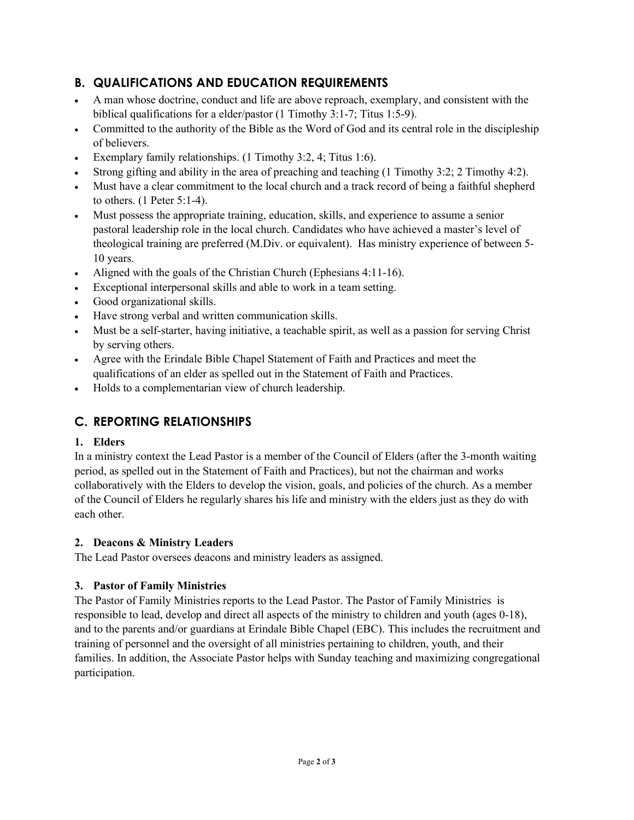# **B. QUALIFICATIONS AND EDUCATION REQUIREMENTS**

- A man whose doctrine, conduct and life are above reproach, exemplary, and consistent with the biblical qualifications for a elder/pastor (1 Timothy 3:1-7; Titus 1:5-9).
- Committed to the authority of the Bible as the Word of God and its central role in the discipleship of believers.
- Exemplary family relationships. (1 Timothy 3:2, 4; Titus 1:6).
- Strong gifting and ability in the area of preaching and teaching (1 Timothy 3:2; 2 Timothy 4:2).
- Must have a clear commitment to the local church and a track record of being a faithful shepherd to others. (1 Peter 5:1-4).
- Must possess the appropriate training, education, skills, and experience to assume a senior pastoral leadership role in the local church. Candidates who have achieved a master's level of theological training are preferred (M.Div. or equivalent). Has ministry experience of between 5- 10 years.
- Aligned with the goals of the Christian Church (Ephesians 4:11-16).
- Exceptional interpersonal skills and able to work in a team setting.
- Good organizational skills.
- Have strong verbal and written communication skills.
- Must be a self-starter, having initiative, a teachable spirit, as well as a passion for serving Christ by serving others.
- Agree with the Erindale Bible Chapel Statement of Faith and Practices and meet the qualifications of an elder as spelled out in the Statement of Faith and Practices.
- Holds to a complementarian view of church leadership.

# **C. REPORTING RELATIONSHIPS**

## **1. Elders**

In a ministry context the Lead Pastor is a member of the Council of Elders (after the 3-month waiting period, as spelled out in the Statement of Faith and Practices), but not the chairman and works collaboratively with the Elders to develop the vision, goals, and policies of the church. As a member of the Council of Elders he regularly shares his life and ministry with the elders just as they do with each other.

## **2. Deacons & Ministry Leaders**

The Lead Pastor oversees deacons and ministry leaders as assigned.

## **3. Pastor of Family Ministries**

The Pastor of Family Ministries reports to the Lead Pastor. The Pastor of Family Ministries is responsible to lead, develop and direct all aspects of the ministry to children and youth (ages 0-18), and to the parents and/or guardians at Erindale Bible Chapel (EBC). This includes the recruitment and training of personnel and the oversight of all ministries pertaining to children, youth, and their families. In addition, the Associate Pastor helps with Sunday teaching and maximizing congregational participation.